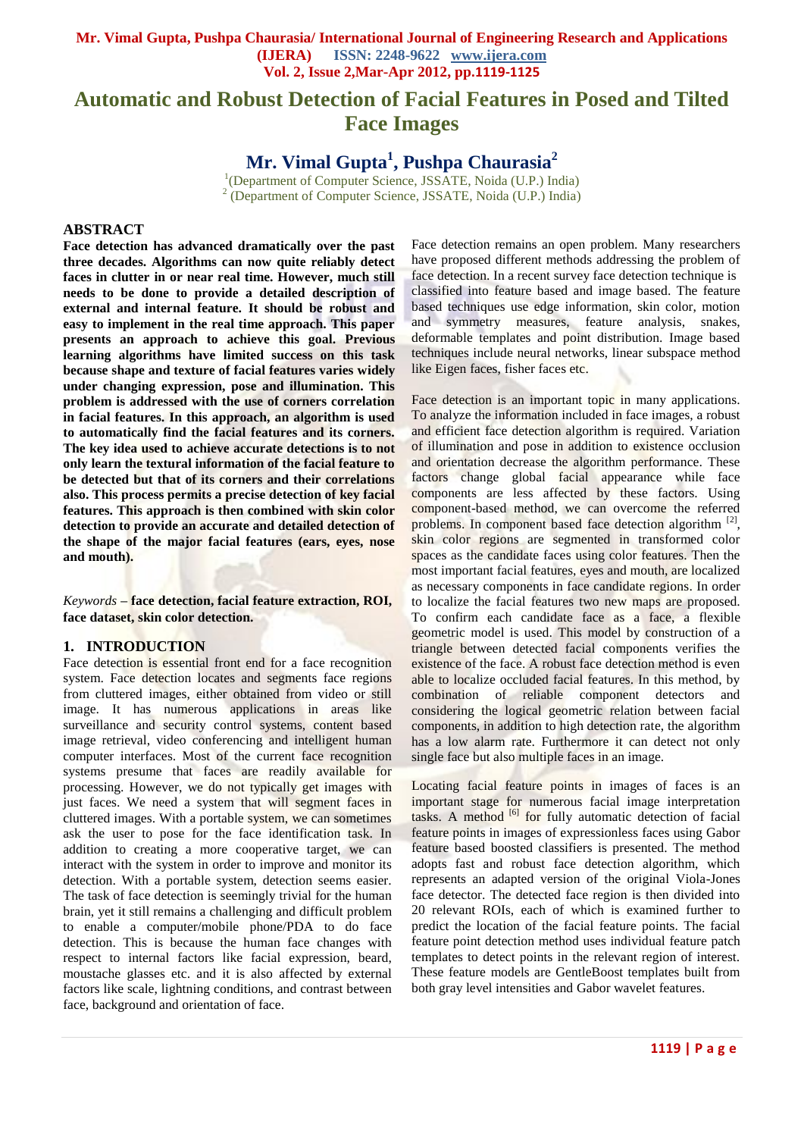# **Automatic and Robust Detection of Facial Features in Posed and Tilted Face Images**

**Mr. Vimal Gupta<sup>1</sup> , Pushpa Chaurasia<sup>2</sup>**

<sup>1</sup>(Department of Computer Science, JSSATE, Noida (U.P.) India) <sup>2</sup> (Department of Computer Science, JSSATE, Noida (U.P.) India)

## **ABSTRACT**

**Face detection has advanced dramatically over the past three decades. Algorithms can now quite reliably detect faces in clutter in or near real time. However, much still needs to be done to provide a detailed description of external and internal feature. It should be robust and easy to implement in the real time approach. This paper presents an approach to achieve this goal. Previous learning algorithms have limited success on this task because shape and texture of facial features varies widely under changing expression, pose and illumination. This problem is addressed with the use of corners correlation in facial features. In this approach, an algorithm is used to automatically find the facial features and its corners. The key idea used to achieve accurate detections is to not only learn the textural information of the facial feature to be detected but that of its corners and their correlations also. This process permits a precise detection of key facial features. This approach is then combined with skin color detection to provide an accurate and detailed detection of the shape of the major facial features (ears, eyes, nose and mouth).**

*Keywords* **– face detection, facial feature extraction, ROI, face dataset, skin color detection.**

#### **1. INTRODUCTION**

Face detection is essential front end for a face recognition system. Face detection locates and segments face regions from cluttered images, either obtained from video or still image. It has numerous applications in areas like surveillance and security control systems, content based image retrieval, video conferencing and intelligent human computer interfaces. Most of the current face recognition systems presume that faces are readily available for processing. However, we do not typically get images with just faces. We need a system that will segment faces in cluttered images. With a portable system, we can sometimes ask the user to pose for the face identification task. In addition to creating a more cooperative target, we can interact with the system in order to improve and monitor its detection. With a portable system, detection seems easier. The task of face detection is seemingly trivial for the human brain, yet it still remains a challenging and difficult problem to enable a computer/mobile phone/PDA to do face detection. This is because the human face changes with respect to internal factors like facial expression, beard, moustache glasses etc. and it is also affected by external factors like scale, lightning conditions, and contrast between face, background and orientation of face.

Face detection remains an open problem. Many researchers have proposed different methods addressing the problem of face detection. In a recent survey face detection technique is classified into feature based and image based. The feature based techniques use edge information, skin color, motion and symmetry measures, feature analysis, snakes, deformable templates and point distribution. Image based techniques include neural networks, linear subspace method like Eigen faces, fisher faces etc.

Face detection is an important topic in many applications. To analyze the information included in face images, a robust and efficient face detection algorithm is required. Variation of illumination and pose in addition to existence occlusion and orientation decrease the algorithm performance. These factors change global facial appearance while face components are less affected by these factors. Using component-based method, we can overcome the referred problems. In component based face detection algorithm [2], skin color regions are segmented in transformed color spaces as the candidate faces using color features. Then the most important facial features, eyes and mouth, are localized as necessary components in face candidate regions. In order to localize the facial features two new maps are proposed. To confirm each candidate face as a face, a flexible geometric model is used. This model by construction of a triangle between detected facial components verifies the existence of the face. A robust face detection method is even able to localize occluded facial features. In this method, by combination of reliable component detectors and considering the logical geometric relation between facial components, in addition to high detection rate, the algorithm has a low alarm rate. Furthermore it can detect not only single face but also multiple faces in an image.

Locating facial feature points in images of faces is an important stage for numerous facial image interpretation tasks. A method  $\begin{bmatrix} 6 \end{bmatrix}$  for fully automatic detection of facial feature points in images of expressionless faces using Gabor feature based boosted classifiers is presented. The method adopts fast and robust face detection algorithm, which represents an adapted version of the original Viola-Jones face detector. The detected face region is then divided into 20 relevant ROIs, each of which is examined further to predict the location of the facial feature points. The facial feature point detection method uses individual feature patch templates to detect points in the relevant region of interest. These feature models are GentleBoost templates built from both gray level intensities and Gabor wavelet features.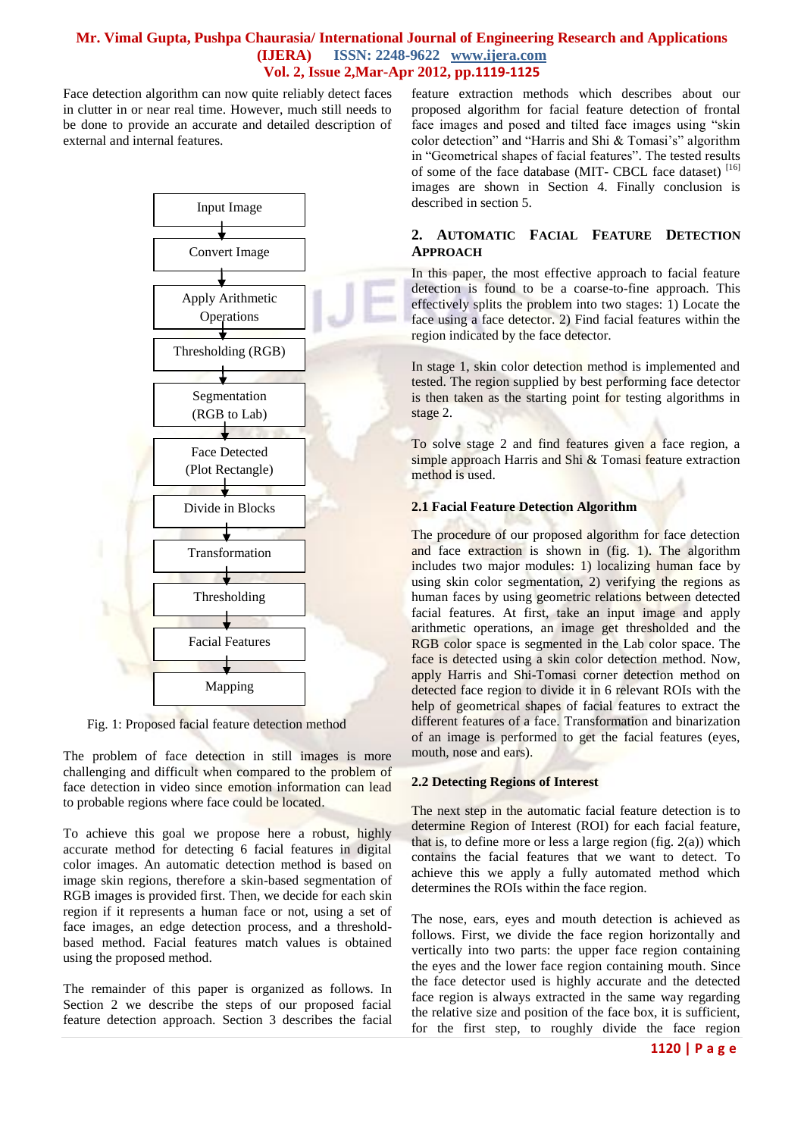Face detection algorithm can now quite reliably detect faces in clutter in or near real time. However, much still needs to be done to provide an accurate and detailed description of external and internal features.



Fig. 1: Proposed facial feature detection method

The problem of face detection in still images is more challenging and difficult when compared to the problem of face detection in video since emotion information can lead to probable regions where face could be located.

To achieve this goal we propose here a robust, highly accurate method for detecting 6 facial features in digital color images. An automatic detection method is based on image skin regions, therefore a skin-based segmentation of RGB images is provided first. Then, we decide for each skin region if it represents a human face or not, using a set of face images, an edge detection process, and a thresholdbased method. Facial features match values is obtained using the proposed method.

The remainder of this paper is organized as follows. In Section 2 we describe the steps of our proposed facial feature detection approach. Section 3 describes the facial feature extraction methods which describes about our proposed algorithm for facial feature detection of frontal face images and posed and tilted face images using "skin color detection" and "Harris and Shi & Tomasi's" algorithm in "Geometrical shapes of facial features". The tested results of some of the face database (MIT- CBCL face dataset)<sup>[16]</sup> images are shown in Section 4. Finally conclusion is described in section 5.

## **2. AUTOMATIC FACIAL FEATURE DETECTION APPROACH**

In this paper, the most effective approach to facial feature detection is found to be a coarse-to-fine approach. This effectively splits the problem into two stages: 1) Locate the face using a face detector. 2) Find facial features within the region indicated by the face detector.

In stage 1, skin color detection method is implemented and tested. The region supplied by best performing face detector is then taken as the starting point for testing algorithms in stage 2.

To solve stage 2 and find features given a face region, a simple approach Harris and Shi & Tomasi feature extraction method is used.

## **2.1 Facial Feature Detection Algorithm**

The procedure of our proposed algorithm for face detection and face extraction is shown in (fig. 1). The algorithm includes two major modules: 1) localizing human face by using skin color segmentation, 2) verifying the regions as human faces by using geometric relations between detected facial features. At first, take an input image and apply arithmetic operations, an image get thresholded and the RGB color space is segmented in the Lab color space. The face is detected using a skin color detection method. Now, apply Harris and Shi-Tomasi corner detection method on detected face region to divide it in 6 relevant ROIs with the help of geometrical shapes of facial features to extract the different features of a face. Transformation and binarization of an image is performed to get the facial features (eyes, mouth, nose and ears).

#### **2.2 Detecting Regions of Interest**

The next step in the automatic facial feature detection is to determine Region of Interest (ROI) for each facial feature, that is, to define more or less a large region (fig.  $2(a)$ ) which contains the facial features that we want to detect. To achieve this we apply a fully automated method which determines the ROIs within the face region.

The nose, ears, eyes and mouth detection is achieved as follows. First, we divide the face region horizontally and vertically into two parts: the upper face region containing the eyes and the lower face region containing mouth. Since the face detector used is highly accurate and the detected face region is always extracted in the same way regarding the relative size and position of the face box, it is sufficient, for the first step, to roughly divide the face region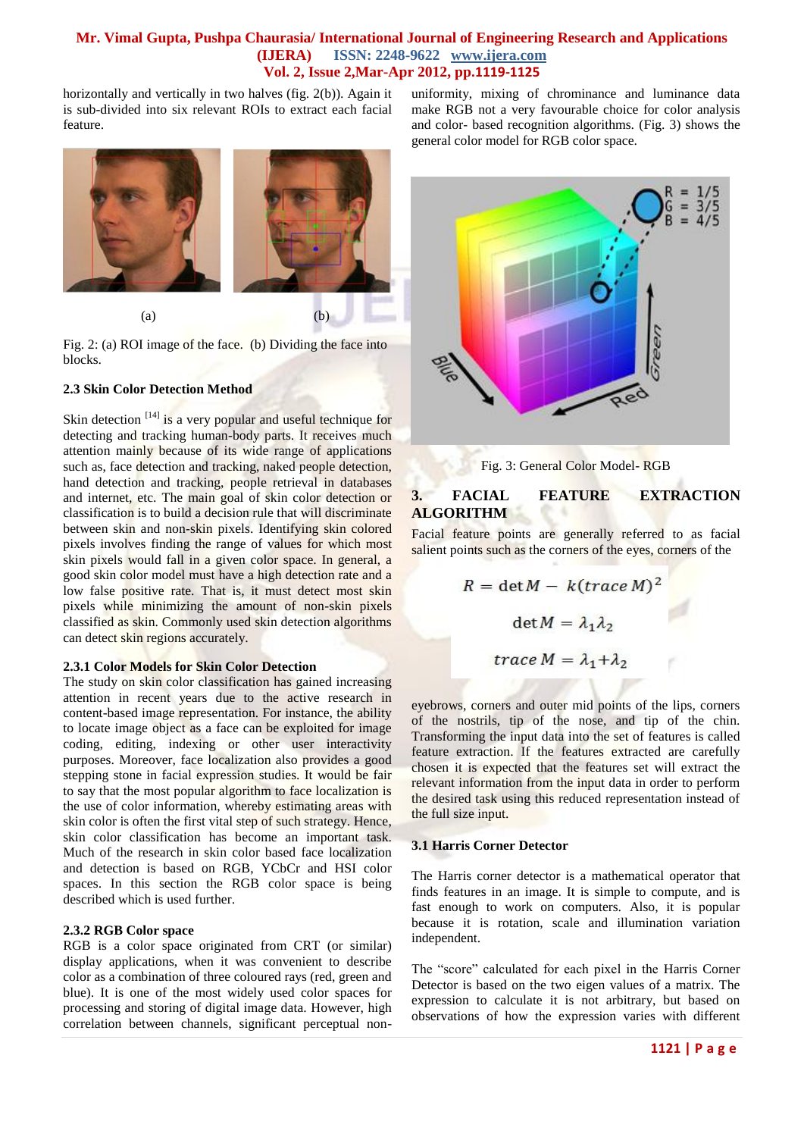horizontally and vertically in two halves (fig. 2(b)). Again it is sub-divided into six relevant ROIs to extract each facial feature.



Fig. 2: (a) ROI image of the face. (b) Dividing the face into blocks.

#### **2.3 Skin Color Detection Method**

Skin detection  $[14]$  is a very popular and useful technique for detecting and tracking human-body parts. It receives much attention mainly because of its wide range of applications such as, face detection and tracking, naked people detection, hand detection and tracking, people retrieval in databases and internet, etc. The main goal of skin color detection or classification is to build a decision rule that will discriminate between skin and non-skin pixels. Identifying skin colored pixels involves finding the range of values for which most skin pixels would fall in a given color space. In general, a good skin color model must have a high detection rate and a low false positive rate. That is, it must detect most skin pixels while minimizing the amount of non-skin pixels classified as skin. Commonly used skin detection algorithms can detect skin regions accurately.

#### **2.3.1 Color Models for Skin Color Detection**

The study on skin color classification has gained increasing attention in recent years due to the active research in content-based image representation. For instance, the ability to locate image object as a face can be exploited for image coding, editing, indexing or other user interactivity purposes. Moreover, face localization also provides a good stepping stone in facial expression studies. It would be fair to say that the most popular algorithm to face localization is the use of color information, whereby estimating areas with skin color is often the first vital step of such strategy. Hence, skin color classification has become an important task. Much of the research in skin color based face localization and detection is based on RGB, YCbCr and HSI color spaces. In this section the RGB color space is being described which is used further.

#### **2.3.2 RGB Color space**

RGB is a color space originated from CRT (or similar) display applications, when it was convenient to describe color as a combination of three coloured rays (red, green and blue). It is one of the most widely used color spaces for processing and storing of digital image data. However, high correlation between channels, significant perceptual nonuniformity, mixing of chrominance and luminance data make RGB not a very favourable choice for color analysis and color- based recognition algorithms. (Fig. 3) shows the general color model for RGB color space.



Fig. 3: General Color Model- RGB

## **3. FACIAL FEATURE EXTRACTION ALGORITHM**

Facial feature points are generally referred to as facial salient points such as the corners of the eyes, corners of the

$$
R = \det M - k(\text{trace } M)^2
$$

$$
\det M = \lambda_1 \lambda_2
$$

$$
\text{trace } M = \lambda_1 + \lambda_2
$$

eyebrows, corners and outer mid points of the lips, corners of the nostrils, tip of the nose, and tip of the chin. Transforming the input data into the set of features is called feature extraction. If the features extracted are carefully chosen it is expected that the features set will extract the relevant information from the input data in order to perform the desired task using this reduced representation instead of the full size input.

#### **3.1 Harris Corner Detector**

The Harris corner detector is a mathematical operator that finds features in an image. It is simple to compute, and is fast enough to work on computers. Also, it is popular because it is rotation, scale and illumination variation independent.

The "score" calculated for each pixel in the [Harris Corner](http://www.aishack.in/2010/04/harris-corner-detector/)  [Detector](http://www.aishack.in/2010/04/harris-corner-detector/) is based on the two eigen values of a matrix. The expression to calculate it is not arbitrary, but based on observations of how the expression varies with different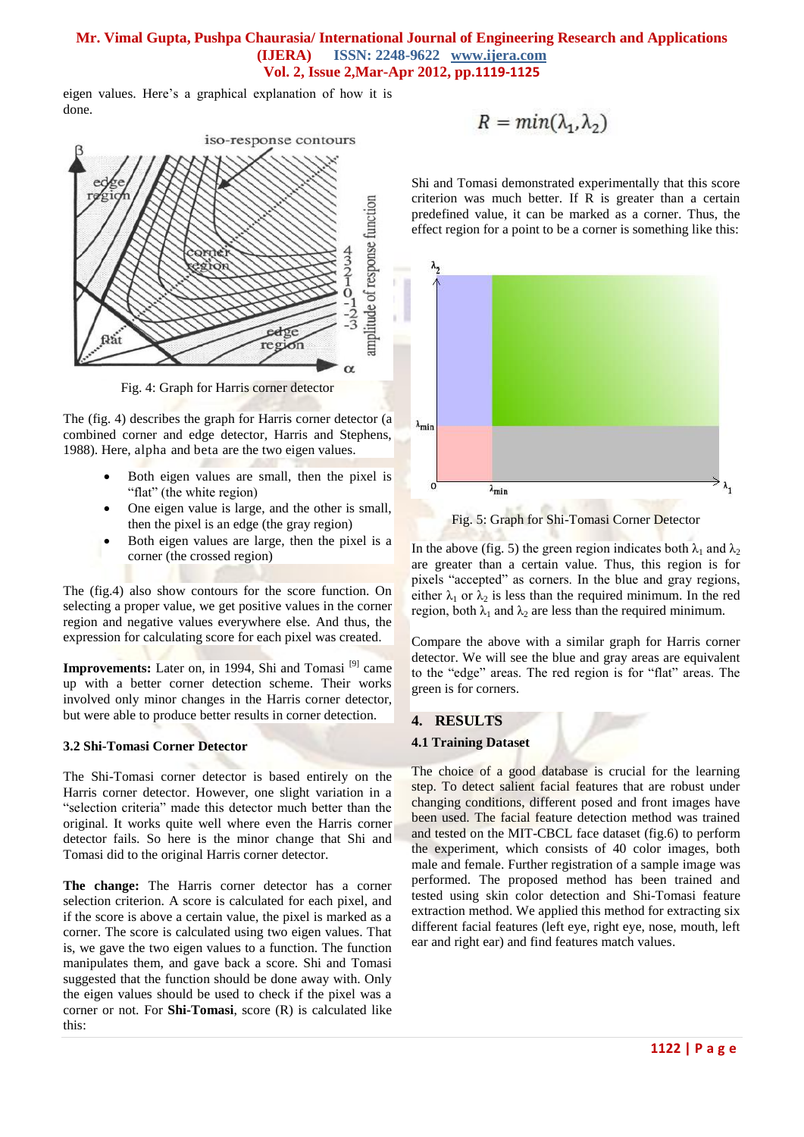eigen values. Here's a graphical explanation of how it is done.



Fig. 4: Graph for Harris corner detector

The (fig. 4) describes the graph for Harris corner detector (a combined corner and edge detector, Harris and Stephens, 1988). Here, alpha and beta are the two eigen values.

- Both eigen values are small, then the pixel is "flat" (the white region)
- One eigen value is large, and the other is small, then the pixel is an edge (the gray region)
- Both eigen values are large, then the pixel is a corner (the crossed region)

The (fig.4) also show contours for the score function. On selecting a proper value, we get positive values in the corner region and negative values everywhere else. And thus, the expression for calculating score for each pixel was created.

Improvements: Later on, in 1994, Shi and Tomasi<sup>[9]</sup> came up with a better corner detection scheme. Their works involved only minor changes in the Harris corner detector, but were able to produce better results in corner detection.

## **3.2 Shi-Tomasi Corner Detector**

The Shi-Tomasi corner detector is based entirely on the [Harris corner detector.](http://www.aishack.in/2010/04/harris-corner-detector/) However, one slight variation in a "selection criteria" made this detector much better than the original. It works quite well where even the Harris corner detector fails. So here is the minor change that Shi and Tomasi did to the original Harris corner detector.

**The change:** The Harris corner detector has a corner selection criterion. A score is calculated for each pixel, and if the score is above a certain value, the pixel is marked as a corner. The score is calculated using two eigen values. That is, we gave the two eigen values to a function. The function manipulates them, and gave back a score. Shi and Tomasi suggested that the function should be done away with. Only the eigen values should be used to check if the pixel was a corner or not. For **Shi-Tomasi**, score (R) is calculated like this:

$$
R = min(\lambda_1, \lambda_2)
$$

Shi and Tomasi demonstrated experimentally that this score criterion was much better. If R is greater than a certain predefined value, it can be marked as a corner. Thus, the effect region for a point to be a corner is something like this:



Fig. 5: Graph for Shi-Tomasi Corner Detector

In the above (fig. 5) the green region indicates both  $\lambda_1$  and  $\lambda_2$ are greater than a certain value. Thus, this region is for pixels "accepted" as corners. In the blue and gray regions, either  $\lambda_1$  or  $\lambda_2$  is less than the required minimum. In the red region, both  $\lambda_1$  and  $\lambda_2$  are less than the required minimum.

Compare the above with [a similar graph for Harris corner](http://www.aishack.in/2010/04/interesting-windows-in-the-harris-corner-detector/)  [detector.](http://www.aishack.in/2010/04/interesting-windows-in-the-harris-corner-detector/) We will see the blue and gray areas are equivalent to the "edge" areas. The red region is for "flat" areas. The green is for corners.

## **4. RESULTS**

#### **4.1 Training Dataset**

The choice of a good database is crucial for the learning step. To detect salient facial features that are robust under changing conditions, different posed and front images have been used. The facial feature detection method was trained and tested on the MIT-CBCL face dataset (fig.6) to perform the experiment, which consists of 40 color images, both male and female. Further registration of a sample image was performed. The proposed method has been trained and tested using skin color detection and Shi-Tomasi feature extraction method. We applied this method for extracting six different facial features (left eye, right eye, nose, mouth, left ear and right ear) and find features match values.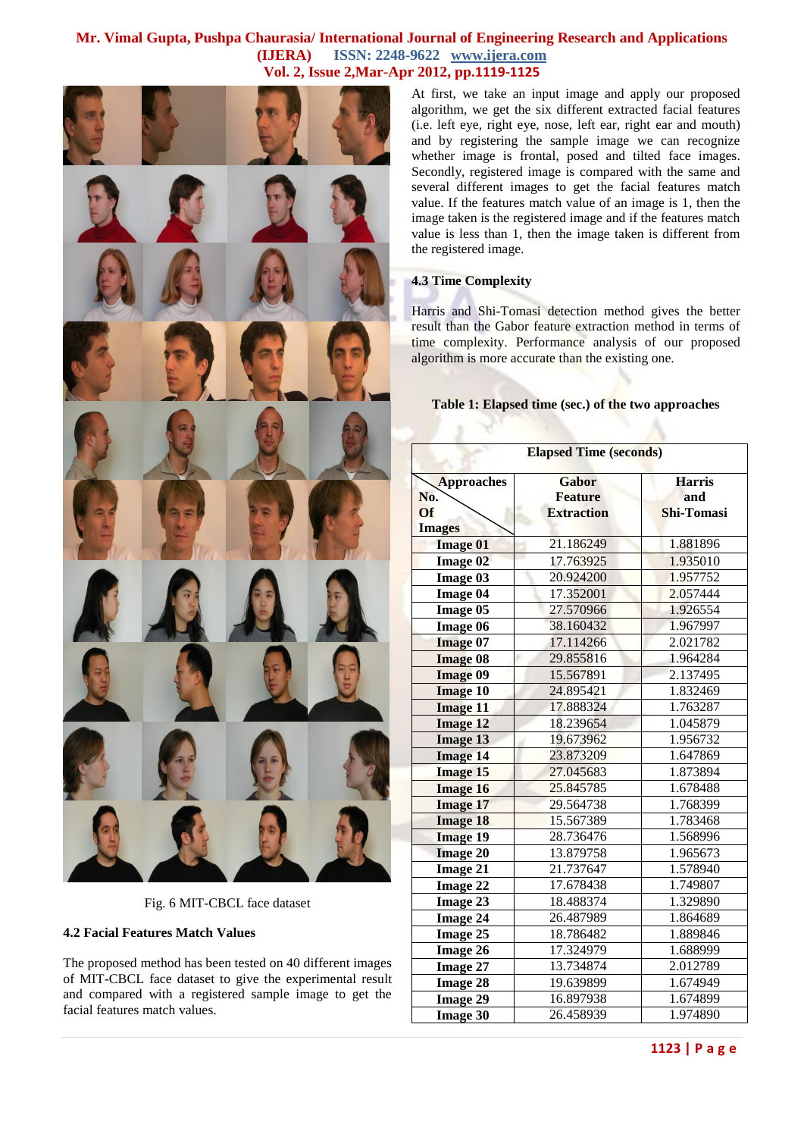

Fig. 6 MIT-CBCL face dataset

#### **4.2 Facial Features Match Values**

The proposed method has been tested on 40 different images of MIT-CBCL face dataset to give the experimental result and compared with a registered sample image to get the facial features match values.

At first, we take an input image and apply our proposed algorithm, we get the six different extracted facial features (i.e. left eye, right eye, nose, left ear, right ear and mouth) and by registering the sample image we can recognize whether image is frontal, posed and tilted face images. Secondly, registered image is compared with the same and several different images to get the facial features match value. If the features match value of an image is 1, then the image taken is the registered image and if the features match value is less than 1, then the image taken is different from the registered image.

#### **4.3 Time Complexity**

Harris and Shi-Tomasi detection method gives the better result than the Gabor feature extraction method in terms of time complexity. Performance analysis of our proposed algorithm is more accurate than the existing one.

#### **Table 1: Elapsed time (sec.) of the two approaches**

| <b>Elapsed Time (seconds)</b>  |                                              |                                    |  |  |  |  |
|--------------------------------|----------------------------------------------|------------------------------------|--|--|--|--|
| <b>Approaches</b><br>No.<br>Of | Gabor<br><b>Feature</b><br><b>Extraction</b> | <b>Harris</b><br>and<br>Shi-Tomasi |  |  |  |  |
| <b>Images</b>                  |                                              |                                    |  |  |  |  |
| <b>Image 01</b>                | 21.186249                                    | 1.881896                           |  |  |  |  |
| <b>Image 02</b>                | 17.763925                                    | 1.935010                           |  |  |  |  |
| Image 03                       | 20.924200                                    | 1.957752                           |  |  |  |  |
| <b>Image 04</b>                | 17.352001                                    | 2.057444                           |  |  |  |  |
| Image 05                       | 27.570966                                    | 1.926554                           |  |  |  |  |
| Image 06                       | 38.160432                                    | 1.967997                           |  |  |  |  |
| <b>Image 07</b>                | 17.114266                                    | 2.021782                           |  |  |  |  |
| <b>Image 08</b>                | 29.855816                                    | 1.964284                           |  |  |  |  |
| <b>Image 09</b>                | 15.567891                                    | 2.137495                           |  |  |  |  |
| <b>Image 10</b>                | 24.895421                                    | 1.832469                           |  |  |  |  |
| <b>Image 11</b>                | 17.888324                                    | 1.763287                           |  |  |  |  |
| <b>Image 12</b>                | 18.239654                                    | 1.045879                           |  |  |  |  |
| <b>Image 13</b>                | 19.673962                                    | 1.956732                           |  |  |  |  |
| <b>Image 14</b>                | 23.873209                                    | 1.647869                           |  |  |  |  |
| <b>Image 15</b>                | 27.045683                                    | 1.873894                           |  |  |  |  |
| <b>Image 16</b>                | 25.845785                                    | 1.678488                           |  |  |  |  |
| <b>Image 17</b>                | 29.564738                                    | 1.768399                           |  |  |  |  |
| <b>Image 18</b>                | 15.567389                                    | 1.783468                           |  |  |  |  |
| <b>Image 19</b>                | 28.736476                                    | 1.568996                           |  |  |  |  |
| <b>Image 20</b>                | 13.879758                                    | 1.965673                           |  |  |  |  |
| <b>Image 21</b>                | 21.737647                                    | 1.578940                           |  |  |  |  |
| Image 22                       | 17.678438                                    | 1.749807                           |  |  |  |  |
| Image 23                       | 18.488374                                    | 1.329890                           |  |  |  |  |
| Image 24                       | 26.487989                                    | 1.864689                           |  |  |  |  |
| Image 25                       | 18.786482                                    | 1.889846                           |  |  |  |  |
| <b>Image 26</b>                | 17.324979                                    | 1.688999                           |  |  |  |  |
| <b>Image 27</b>                | 13.734874                                    | 2.012789                           |  |  |  |  |
| <b>Image 28</b>                | 19.639899                                    | 1.674949                           |  |  |  |  |
| <b>Image 29</b>                | 16.897938                                    | 1.674899                           |  |  |  |  |
| <b>Image 30</b>                | 26.458939                                    | 1.974890                           |  |  |  |  |

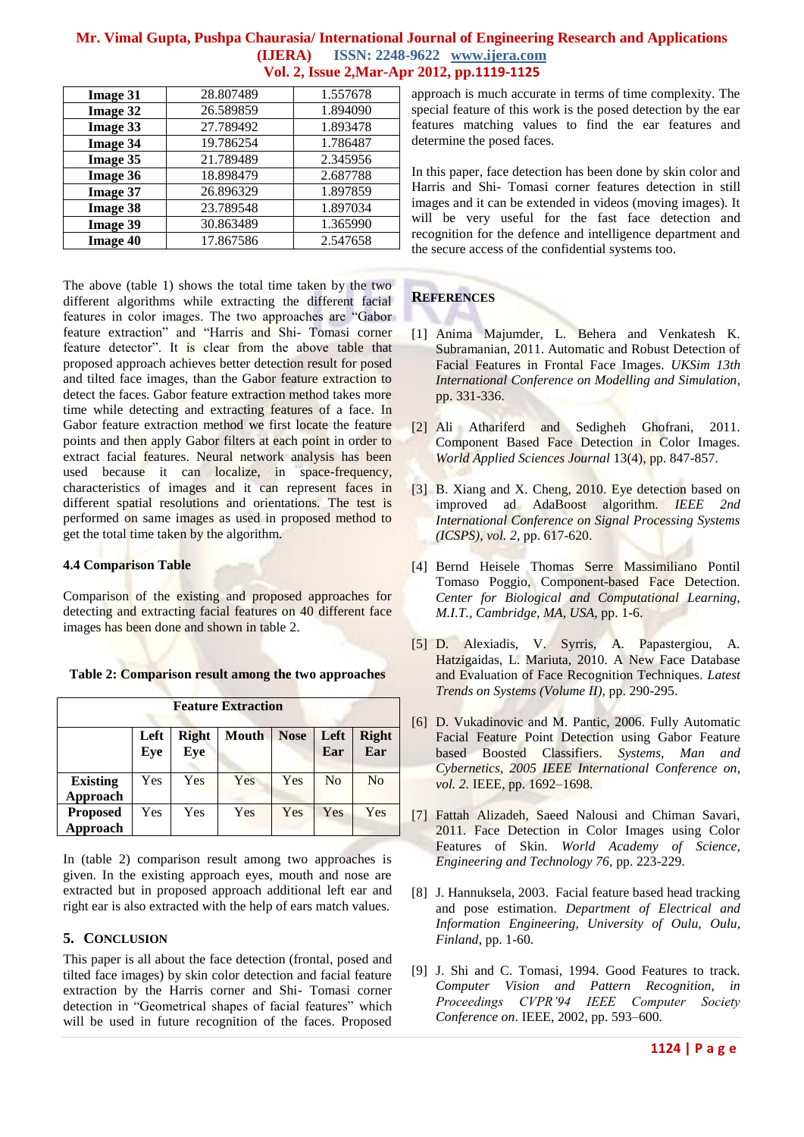| <b>Image 31</b> | 28.807489 | 1.557678 |
|-----------------|-----------|----------|
| <b>Image 32</b> | 26.589859 | 1.894090 |
| <b>Image 33</b> | 27.789492 | 1.893478 |
| <b>Image 34</b> | 19.786254 | 1.786487 |
| <b>Image 35</b> | 21.789489 | 2.345956 |
| <b>Image 36</b> | 18.898479 | 2.687788 |
| <b>Image 37</b> | 26.896329 | 1.897859 |
| <b>Image 38</b> | 23.789548 | 1.897034 |
| <b>Image 39</b> | 30.863489 | 1.365990 |
| <b>Image 40</b> | 17.867586 | 2.547658 |

The above (table 1) shows the total time taken by the two different algorithms while extracting the different facial features in color images. The two approaches are "Gabor feature extraction" and "Harris and Shi- Tomasi corner feature detector". It is clear from the above table that proposed approach achieves better detection result for posed and tilted face images, than the Gabor feature extraction to detect the faces. Gabor feature extraction method takes more time while detecting and extracting features of a face. In Gabor feature extraction method we first locate the feature points and then apply Gabor filters at each point in order to extract facial features. Neural network analysis has been used because it can localize, in space-frequency, characteristics of images and it can represent faces in different spatial resolutions and orientations. The test is performed on same images as used in proposed method to get the total time taken by the algorithm.

#### **4.4 Comparison Table**

Comparison of the existing and proposed approaches for detecting and extracting facial features on 40 different face images has been done and shown in table 2.

| <b>Feature Extraction</b>   |             |                     |              |             |                |                     |  |
|-----------------------------|-------------|---------------------|--------------|-------------|----------------|---------------------|--|
|                             | Left<br>Eye | <b>Right</b><br>Eye | <b>Mouth</b> | <b>Nose</b> | Left<br>Ear    | <b>Right</b><br>Ear |  |
| <b>Existing</b><br>Approach | Yes         | Yes                 | Yes          | Yes         | N <sub>0</sub> | N <sub>0</sub>      |  |
| <b>Proposed</b><br>Approach | Yes         | Yes                 | Yes          | Yes         | Yes            | Yes                 |  |

**Table 2: Comparison result among the two approaches**

In (table 2) comparison result among two approaches is given. In the existing approach eyes, mouth and nose are extracted but in proposed approach additional left ear and right ear is also extracted with the help of ears match values.

## **5. CONCLUSION**

This paper is all about the face detection (frontal, posed and tilted face images) by skin color detection and facial feature extraction by the Harris corner and Shi- Tomasi corner detection in "Geometrical shapes of facial features" which will be used in future recognition of the faces. Proposed approach is much accurate in terms of time complexity. The special feature of this work is the posed detection by the ear features matching values to find the ear features and determine the posed faces.

In this paper, face detection has been done by skin color and Harris and Shi- Tomasi corner features detection in still images and it can be extended in videos (moving images). It will be very useful for the fast face detection and recognition for the defence and intelligence department and the secure access of the confidential systems too.

# **REFERENCES**

- [1] Anima Majumder, L. Behera and Venkatesh K. Subramanian, 2011. Automatic and Robust Detection of Facial Features in Frontal Face Images. *UKSim 13th International Conference on Modelling and Simulation*, pp. 331-336.
- [2] Ali Athariferd and Sedigheh Ghofrani, 2011. Component Based Face Detection in Color Images. *World Applied Sciences Journal* 13(4), pp. 847-857.
- [3] B. Xiang and X. Cheng, 2010. Eye detection based on improved ad AdaBoost algorithm. *IEEE 2nd International Conference on Signal Processing Systems (ICSPS)*, *vol. 2*, pp. 617-620.
- [4] Bernd Heisele Thomas Serre Massimiliano Pontil Tomaso Poggio, Component-based Face Detection. *Center for Biological and Computational Learning, M.I.T., Cambridge, MA, USA,* pp. 1-6.
- [5] D. Alexiadis, V. Syrris, A. Papastergiou, A. Hatzigaidas, L. Mariuta, 2010. A New Face Database and Evaluation of Face Recognition Techniques. *Latest Trends on Systems (Volume II),* pp. 290-295.
- [6] D. Vukadinovic and M. Pantic, 2006. Fully Automatic Facial Feature Point Detection using Gabor Feature based Boosted Classifiers. *Systems, Man and Cybernetics, 2005 IEEE International Conference on*, *vol. 2.* IEEE, pp. 1692–1698.
- [7] Fattah Alizadeh, Saeed Nalousi and Chiman Savari, 2011. Face Detection in Color Images using Color Features of Skin. *World Academy of Science, Engineering and Technology 76,* pp. 223-229.
- [8] J. Hannuksela, 2003. Facial feature based head tracking and pose estimation. *Department of Electrical and Information Engineering, University of Oulu, Oulu, Finland*, pp. 1-60.
- [9] J. Shi and C. Tomasi, 1994. Good Features to track. *Computer Vision and Pattern Recognition, in Proceedings CVPR'94 IEEE Computer Society Conference on*. IEEE, 2002, pp. 593–600.